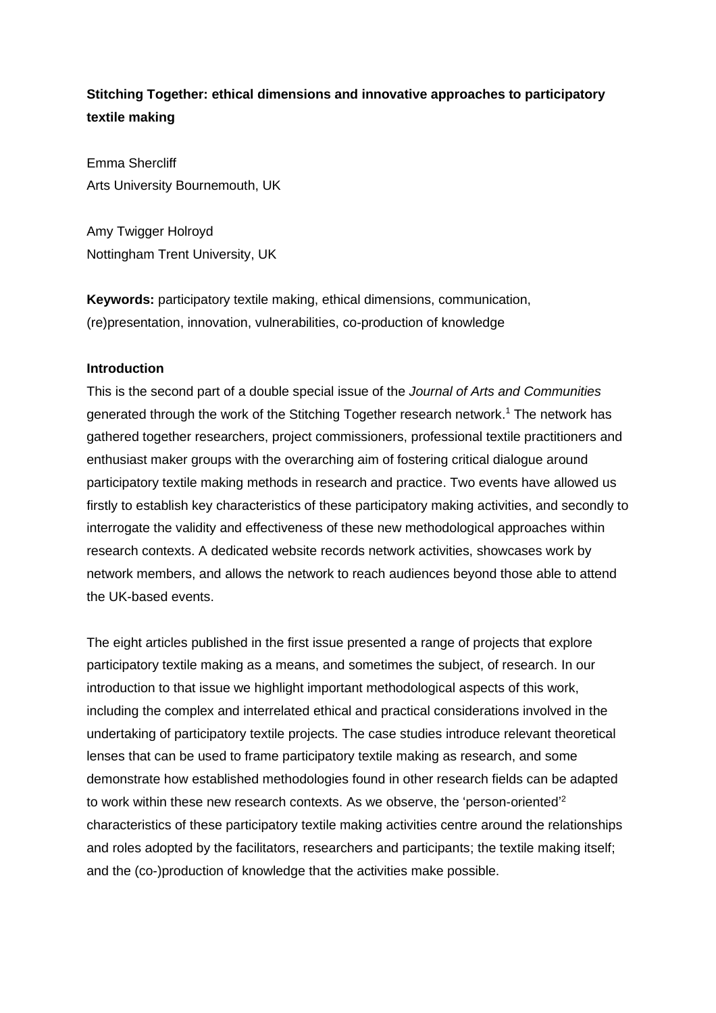# **Stitching Together: ethical dimensions and innovative approaches to participatory textile making**

Emma Shercliff Arts University Bournemouth, UK

Amy Twigger Holroyd Nottingham Trent University, UK

**Keywords:** participatory textile making, ethical dimensions, communication, (re)presentation, innovation, vulnerabilities, co-production of knowledge

## **Introduction**

This is the second part of a double special issue of the *Journal of Arts and Communities* generated through the work of the Stitching Together research network. <sup>1</sup> The network has gathered together researchers, project commissioners, professional textile practitioners and enthusiast maker groups with the overarching aim of fostering critical dialogue around participatory textile making methods in research and practice. Two events have allowed us firstly to establish key characteristics of these participatory making activities, and secondly to interrogate the validity and effectiveness of these new methodological approaches within research contexts. A dedicated website records network activities, showcases work by network members, and allows the network to reach audiences beyond those able to attend the UK-based events.

The eight articles published in the first issue presented a range of projects that explore participatory textile making as a means, and sometimes the subject, of research. In our introduction to that issue we highlight important methodological aspects of this work, including the complex and interrelated ethical and practical considerations involved in the undertaking of participatory textile projects. The case studies introduce relevant theoretical lenses that can be used to frame participatory textile making as research, and some demonstrate how established methodologies found in other research fields can be adapted to work within these new research contexts. As we observe, the 'person-oriented'<sup>2</sup> characteristics of these participatory textile making activities centre around the relationships and roles adopted by the facilitators, researchers and participants; the textile making itself; and the (co-)production of knowledge that the activities make possible.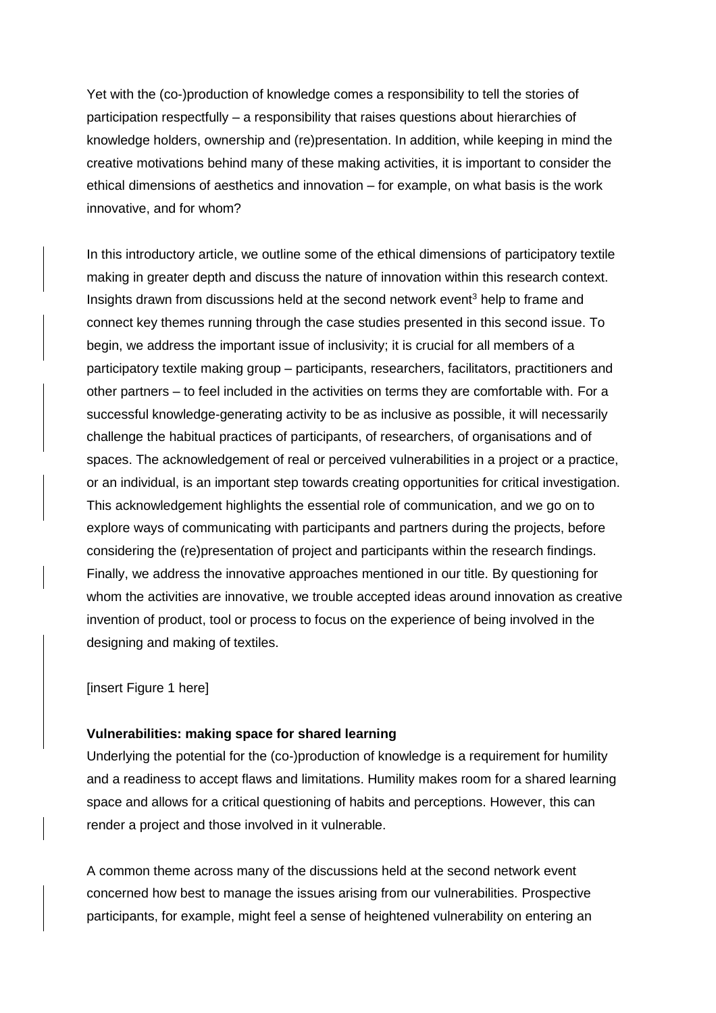Yet with the (co-)production of knowledge comes a responsibility to tell the stories of participation respectfully – a responsibility that raises questions about hierarchies of knowledge holders, ownership and (re)presentation. In addition, while keeping in mind the creative motivations behind many of these making activities, it is important to consider the ethical dimensions of aesthetics and innovation – for example, on what basis is the work innovative, and for whom?

In this introductory article, we outline some of the ethical dimensions of participatory textile making in greater depth and discuss the nature of innovation within this research context. Insights drawn from discussions held at the second network event<sup>3</sup> help to frame and connect key themes running through the case studies presented in this second issue. To begin, we address the important issue of inclusivity; it is crucial for all members of a participatory textile making group – participants, researchers, facilitators, practitioners and other partners – to feel included in the activities on terms they are comfortable with. For a successful knowledge-generating activity to be as inclusive as possible, it will necessarily challenge the habitual practices of participants, of researchers, of organisations and of spaces. The acknowledgement of real or perceived vulnerabilities in a project or a practice, or an individual, is an important step towards creating opportunities for critical investigation. This acknowledgement highlights the essential role of communication, and we go on to explore ways of communicating with participants and partners during the projects, before considering the (re)presentation of project and participants within the research findings. Finally, we address the innovative approaches mentioned in our title. By questioning for whom the activities are innovative, we trouble accepted ideas around innovation as creative invention of product, tool or process to focus on the experience of being involved in the designing and making of textiles.

#### [insert Figure 1 here]

## **Vulnerabilities: making space for shared learning**

Underlying the potential for the (co-)production of knowledge is a requirement for humility and a readiness to accept flaws and limitations. Humility makes room for a shared learning space and allows for a critical questioning of habits and perceptions. However, this can render a project and those involved in it vulnerable.

A common theme across many of the discussions held at the second network event concerned how best to manage the issues arising from our vulnerabilities. Prospective participants, for example, might feel a sense of heightened vulnerability on entering an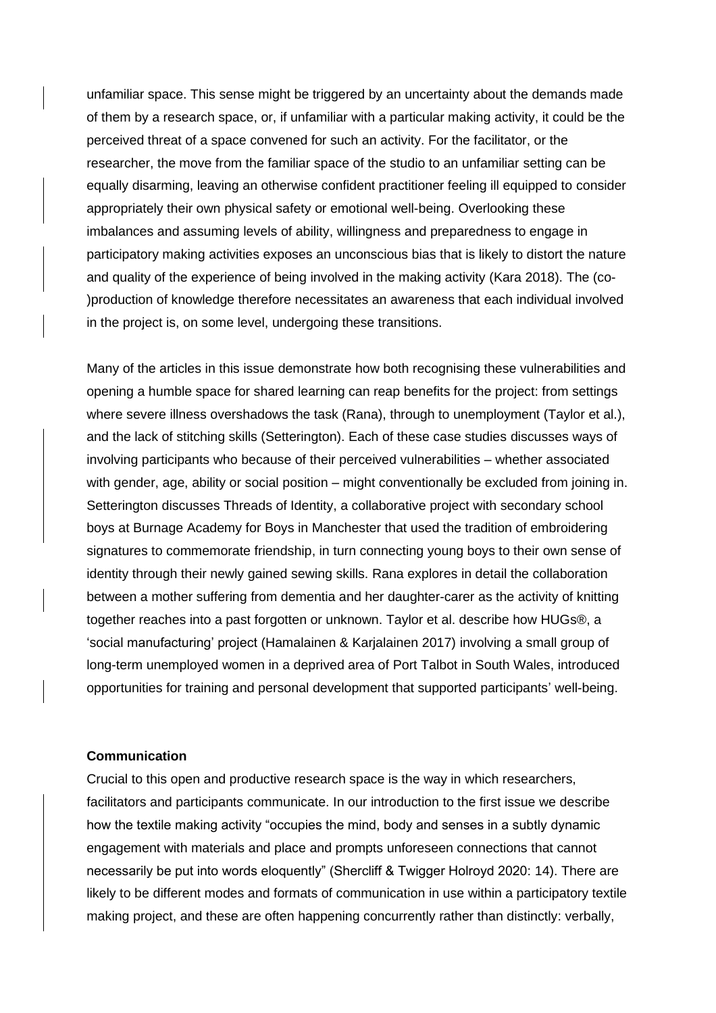unfamiliar space. This sense might be triggered by an uncertainty about the demands made of them by a research space, or, if unfamiliar with a particular making activity, it could be the perceived threat of a space convened for such an activity. For the facilitator, or the researcher, the move from the familiar space of the studio to an unfamiliar setting can be equally disarming, leaving an otherwise confident practitioner feeling ill equipped to consider appropriately their own physical safety or emotional well-being. Overlooking these imbalances and assuming levels of ability, willingness and preparedness to engage in participatory making activities exposes an unconscious bias that is likely to distort the nature and quality of the experience of being involved in the making activity (Kara 2018). The (co- )production of knowledge therefore necessitates an awareness that each individual involved in the project is, on some level, undergoing these transitions.

Many of the articles in this issue demonstrate how both recognising these vulnerabilities and opening a humble space for shared learning can reap benefits for the project: from settings where severe illness overshadows the task (Rana), through to unemployment (Taylor et al.), and the lack of stitching skills (Setterington). Each of these case studies discusses ways of involving participants who because of their perceived vulnerabilities – whether associated with gender, age, ability or social position – might conventionally be excluded from joining in. Setterington discusses Threads of Identity, a collaborative project with secondary school boys at Burnage Academy for Boys in Manchester that used the tradition of embroidering signatures to commemorate friendship, in turn connecting young boys to their own sense of identity through their newly gained sewing skills. Rana explores in detail the collaboration between a mother suffering from dementia and her daughter-carer as the activity of knitting together reaches into a past forgotten or unknown. Taylor et al. describe how HUGs®, a 'social manufacturing' project (Hamalainen & Karjalainen 2017) involving a small group of long-term unemployed women in a deprived area of Port Talbot in South Wales, introduced opportunities for training and personal development that supported participants' well-being.

## **Communication**

Crucial to this open and productive research space is the way in which researchers, facilitators and participants communicate. In our introduction to the first issue we describe how the textile making activity "occupies the mind, body and senses in a subtly dynamic engagement with materials and place and prompts unforeseen connections that cannot necessarily be put into words eloquently" (Shercliff & Twigger Holroyd 2020: 14). There are likely to be different modes and formats of communication in use within a participatory textile making project, and these are often happening concurrently rather than distinctly: verbally,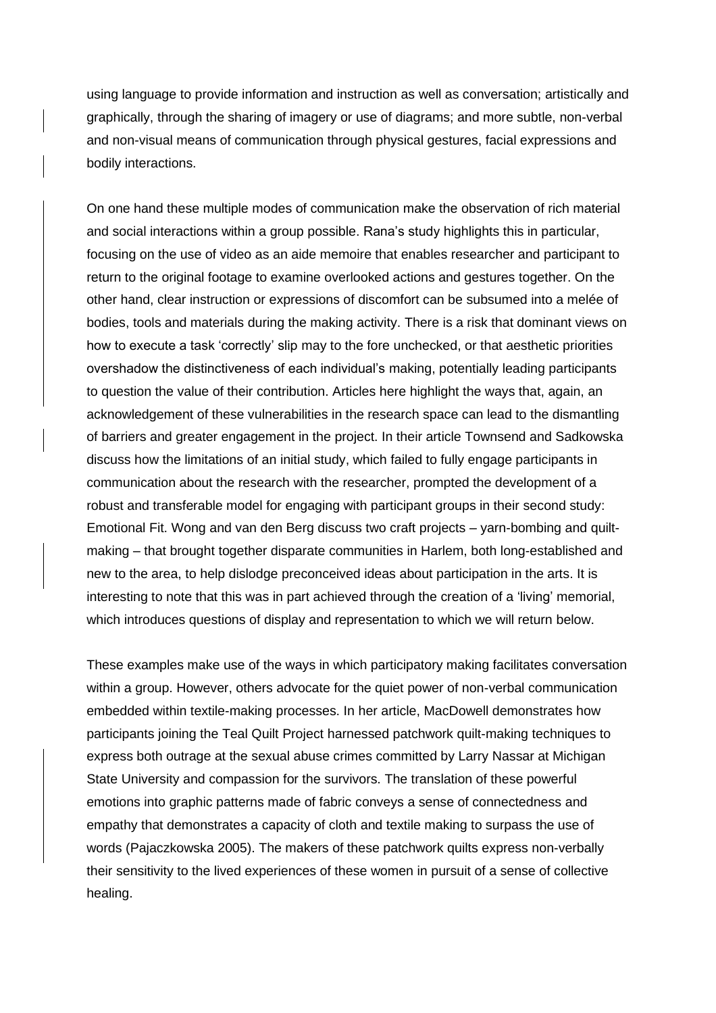using language to provide information and instruction as well as conversation; artistically and graphically, through the sharing of imagery or use of diagrams; and more subtle, non-verbal and non-visual means of communication through physical gestures, facial expressions and bodily interactions.

On one hand these multiple modes of communication make the observation of rich material and social interactions within a group possible. Rana's study highlights this in particular, focusing on the use of video as an aide memoire that enables researcher and participant to return to the original footage to examine overlooked actions and gestures together. On the other hand, clear instruction or expressions of discomfort can be subsumed into a melée of bodies, tools and materials during the making activity. There is a risk that dominant views on how to execute a task 'correctly' slip may to the fore unchecked, or that aesthetic priorities overshadow the distinctiveness of each individual's making, potentially leading participants to question the value of their contribution. Articles here highlight the ways that, again, an acknowledgement of these vulnerabilities in the research space can lead to the dismantling of barriers and greater engagement in the project. In their article Townsend and Sadkowska discuss how the limitations of an initial study, which failed to fully engage participants in communication about the research with the researcher, prompted the development of a robust and transferable model for engaging with participant groups in their second study: Emotional Fit. Wong and van den Berg discuss two craft projects – yarn-bombing and quiltmaking – that brought together disparate communities in Harlem, both long-established and new to the area, to help dislodge preconceived ideas about participation in the arts. It is interesting to note that this was in part achieved through the creation of a 'living' memorial, which introduces questions of display and representation to which we will return below.

These examples make use of the ways in which participatory making facilitates conversation within a group. However, others advocate for the quiet power of non-verbal communication embedded within textile-making processes. In her article, MacDowell demonstrates how participants joining the Teal Quilt Project harnessed patchwork quilt-making techniques to express both outrage at the sexual abuse crimes committed by Larry Nassar at Michigan State University and compassion for the survivors. The translation of these powerful emotions into graphic patterns made of fabric conveys a sense of connectedness and empathy that demonstrates a capacity of cloth and textile making to surpass the use of words (Pajaczkowska 2005). The makers of these patchwork quilts express non-verbally their sensitivity to the lived experiences of these women in pursuit of a sense of collective healing.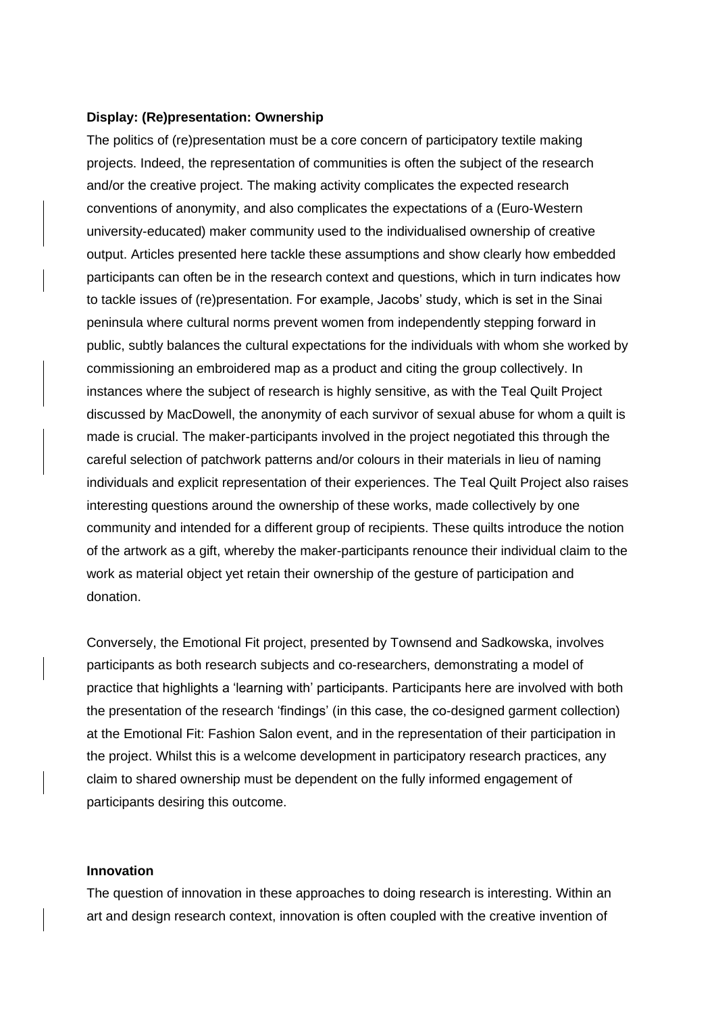#### **Display: (Re)presentation: Ownership**

The politics of (re)presentation must be a core concern of participatory textile making projects. Indeed, the representation of communities is often the subject of the research and/or the creative project. The making activity complicates the expected research conventions of anonymity, and also complicates the expectations of a (Euro-Western university-educated) maker community used to the individualised ownership of creative output. Articles presented here tackle these assumptions and show clearly how embedded participants can often be in the research context and questions, which in turn indicates how to tackle issues of (re)presentation. For example, Jacobs' study, which is set in the Sinai peninsula where cultural norms prevent women from independently stepping forward in public, subtly balances the cultural expectations for the individuals with whom she worked by commissioning an embroidered map as a product and citing the group collectively. In instances where the subject of research is highly sensitive, as with the Teal Quilt Project discussed by MacDowell, the anonymity of each survivor of sexual abuse for whom a quilt is made is crucial. The maker-participants involved in the project negotiated this through the careful selection of patchwork patterns and/or colours in their materials in lieu of naming individuals and explicit representation of their experiences. The Teal Quilt Project also raises interesting questions around the ownership of these works, made collectively by one community and intended for a different group of recipients. These quilts introduce the notion of the artwork as a gift, whereby the maker-participants renounce their individual claim to the work as material object yet retain their ownership of the gesture of participation and donation.

Conversely, the Emotional Fit project, presented by Townsend and Sadkowska, involves participants as both research subjects and co-researchers, demonstrating a model of practice that highlights a 'learning with' participants. Participants here are involved with both the presentation of the research 'findings' (in this case, the co-designed garment collection) at the Emotional Fit: Fashion Salon event, and in the representation of their participation in the project. Whilst this is a welcome development in participatory research practices, any claim to shared ownership must be dependent on the fully informed engagement of participants desiring this outcome.

## **Innovation**

The question of innovation in these approaches to doing research is interesting. Within an art and design research context, innovation is often coupled with the creative invention of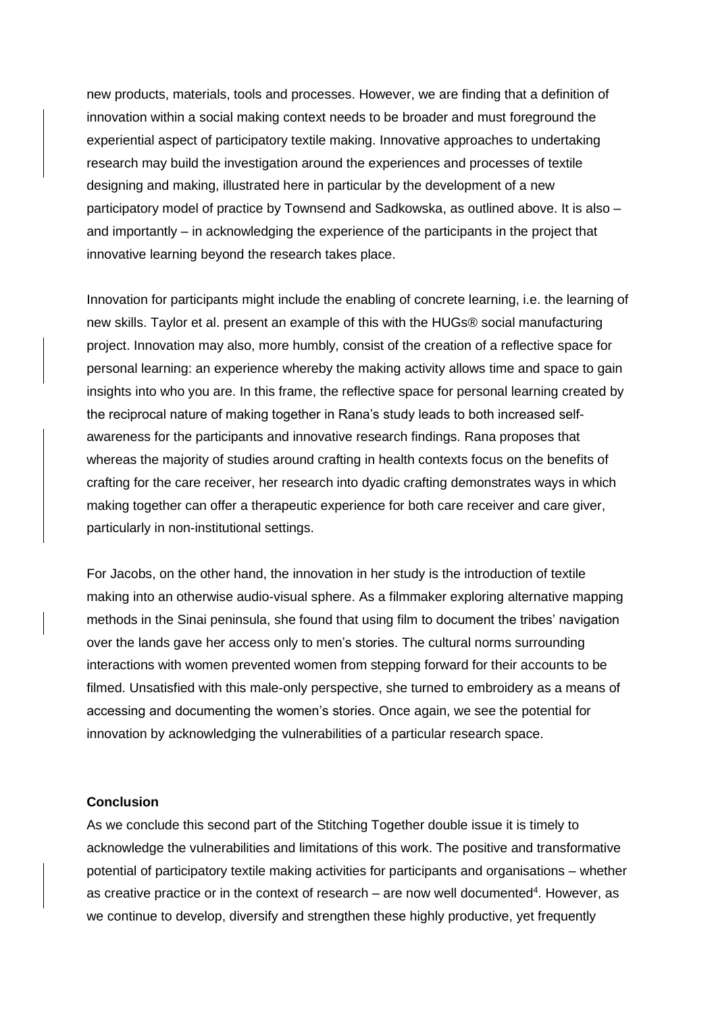new products, materials, tools and processes. However, we are finding that a definition of innovation within a social making context needs to be broader and must foreground the experiential aspect of participatory textile making. Innovative approaches to undertaking research may build the investigation around the experiences and processes of textile designing and making, illustrated here in particular by the development of a new participatory model of practice by Townsend and Sadkowska, as outlined above. It is also – and importantly – in acknowledging the experience of the participants in the project that innovative learning beyond the research takes place.

Innovation for participants might include the enabling of concrete learning, i.e. the learning of new skills. Taylor et al. present an example of this with the HUGs® social manufacturing project. Innovation may also, more humbly, consist of the creation of a reflective space for personal learning: an experience whereby the making activity allows time and space to gain insights into who you are. In this frame, the reflective space for personal learning created by the reciprocal nature of making together in Rana's study leads to both increased selfawareness for the participants and innovative research findings. Rana proposes that whereas the majority of studies around crafting in health contexts focus on the benefits of crafting for the care receiver, her research into dyadic crafting demonstrates ways in which making together can offer a therapeutic experience for both care receiver and care giver, particularly in non-institutional settings.

For Jacobs, on the other hand, the innovation in her study is the introduction of textile making into an otherwise audio-visual sphere. As a filmmaker exploring alternative mapping methods in the Sinai peninsula, she found that using film to document the tribes' navigation over the lands gave her access only to men's stories. The cultural norms surrounding interactions with women prevented women from stepping forward for their accounts to be filmed. Unsatisfied with this male-only perspective, she turned to embroidery as a means of accessing and documenting the women's stories. Once again, we see the potential for innovation by acknowledging the vulnerabilities of a particular research space.

## **Conclusion**

As we conclude this second part of the Stitching Together double issue it is timely to acknowledge the vulnerabilities and limitations of this work. The positive and transformative potential of participatory textile making activities for participants and organisations – whether as creative practice or in the context of research – are now well documented<sup>4</sup>. However, as we continue to develop, diversify and strengthen these highly productive, yet frequently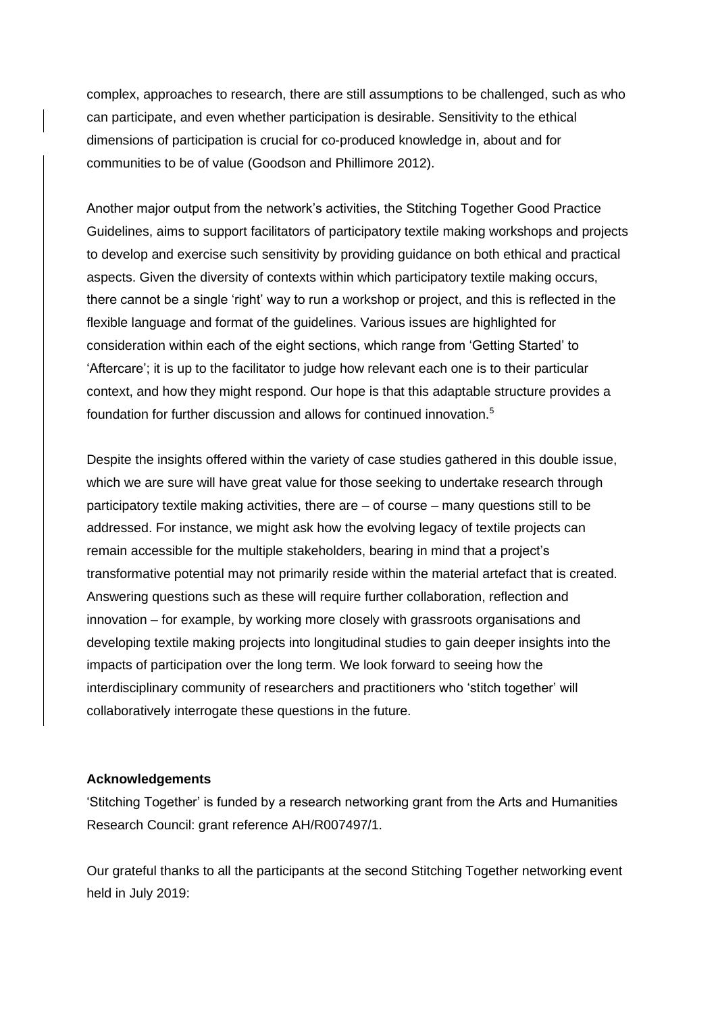complex, approaches to research, there are still assumptions to be challenged, such as who can participate, and even whether participation is desirable. Sensitivity to the ethical dimensions of participation is crucial for co-produced knowledge in, about and for communities to be of value (Goodson and Phillimore 2012).

Another major output from the network's activities, the Stitching Together Good Practice Guidelines, aims to support facilitators of participatory textile making workshops and projects to develop and exercise such sensitivity by providing guidance on both ethical and practical aspects. Given the diversity of contexts within which participatory textile making occurs, there cannot be a single 'right' way to run a workshop or project, and this is reflected in the flexible language and format of the guidelines. Various issues are highlighted for consideration within each of the eight sections, which range from 'Getting Started' to 'Aftercare'; it is up to the facilitator to judge how relevant each one is to their particular context, and how they might respond. Our hope is that this adaptable structure provides a foundation for further discussion and allows for continued innovation.<sup>5</sup>

Despite the insights offered within the variety of case studies gathered in this double issue, which we are sure will have great value for those seeking to undertake research through participatory textile making activities, there are – of course – many questions still to be addressed. For instance, we might ask how the evolving legacy of textile projects can remain accessible for the multiple stakeholders, bearing in mind that a project's transformative potential may not primarily reside within the material artefact that is created. Answering questions such as these will require further collaboration, reflection and innovation – for example, by working more closely with grassroots organisations and developing textile making projects into longitudinal studies to gain deeper insights into the impacts of participation over the long term. We look forward to seeing how the interdisciplinary community of researchers and practitioners who 'stitch together' will collaboratively interrogate these questions in the future.

#### **Acknowledgements**

'Stitching Together' is funded by a research networking grant from the Arts and Humanities Research Council: grant reference AH/R007497/1.

Our grateful thanks to all the participants at the second Stitching Together networking event held in July 2019: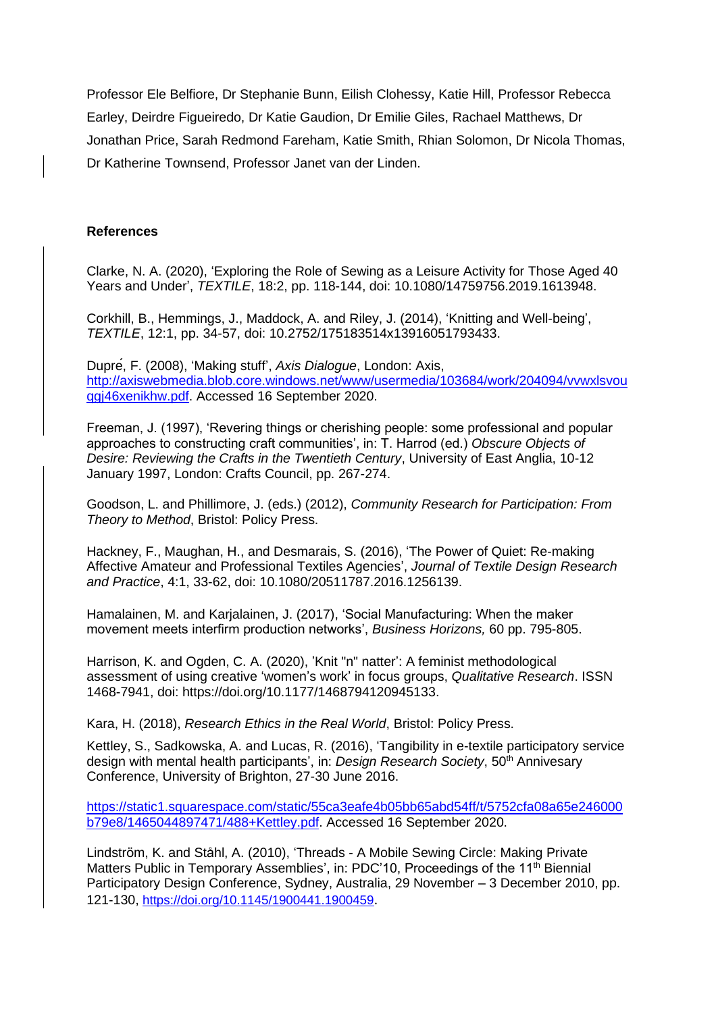Professor Ele Belfiore, Dr Stephanie Bunn, Eilish Clohessy, Katie Hill, Professor Rebecca Earley, Deirdre Figueiredo, Dr Katie Gaudion, Dr Emilie Giles, Rachael Matthews, Dr Jonathan Price, Sarah Redmond Fareham, Katie Smith, Rhian Solomon, Dr Nicola Thomas, Dr Katherine Townsend, Professor Janet van der Linden.

## **References**

Clarke, N. A. (2020), 'Exploring the Role of Sewing as a Leisure Activity for Those Aged 40 Years and Under', *TEXTILE*, 18:2, pp. 118-144, doi: 10.1080/14759756.2019.1613948.

Corkhill, B., Hemmings, J., Maddock, A. and Riley, J. (2014), 'Knitting and Well-being', *TEXTILE*, 12:1, pp. 34-57, doi: 10.2752/175183514x13916051793433.

Dupré, F. (2008), 'Making stuff', *Axis Dialogue*, London: Axis, [http://axiswebmedia.blob.core.windows.net/www/usermedia/103684/work/204094/vvwxlsvou](http://axiswebmedia.blob.core.windows.net/www/usermedia/103684/work/204094/vvwxlsvouqgj46xenikhw.pdf) [qgj46xenikhw.pdf.](http://axiswebmedia.blob.core.windows.net/www/usermedia/103684/work/204094/vvwxlsvouqgj46xenikhw.pdf) Accessed 16 September 2020.

Freeman, J. (1997), 'Revering things or cherishing people: some professional and popular approaches to constructing craft communities', in: T. Harrod (ed.) *Obscure Objects of Desire: Reviewing the Crafts in the Twentieth Century*, University of East Anglia, 10-12 January 1997, London: Crafts Council, pp. 267-274.

Goodson, L. and Phillimore, J. (eds.) (2012), *Community Research for Participation: From Theory to Method*, Bristol: Policy Press.

Hackney, F., Maughan, H., and Desmarais, S. (2016), 'The Power of Quiet: Re-making Affective Amateur and Professional Textiles Agencies', *Journal of Textile Design Research and Practice*, 4:1, 33-62, doi: 10.1080/20511787.2016.1256139.

Hamalainen, M. and Karjalainen, J. (2017), 'Social Manufacturing: When the maker movement meets interfirm production networks', *Business Horizons,* 60 pp. 795-805.

Harrison, K. and Ogden, C. A. (2020), 'Knit "n" natter': A feminist methodological assessment of using creative 'women's work' in focus groups, *Qualitative Research*. ISSN 1468-7941, doi: https://doi.org/10.1177/1468794120945133.

Kara, H. (2018), *Research Ethics in the Real World*, Bristol: Policy Press.

Kettley, S., Sadkowska, A. and Lucas, R. (2016), 'Tangibility in e-textile participatory service design with mental health participants', in: *Design Research Society*, 50<sup>th</sup> Annivesary Conference, University of Brighton, 27-30 June 2016.

[https://static1.squarespace.com/static/55ca3eafe4b05bb65abd54ff/t/5752cfa08a65e246000](https://static1.squarespace.com/static/55ca3eafe4b05bb65abd54ff/t/5752cfa08a65e246000b79e8/1465044897471/488+Kettley.pdf) [b79e8/1465044897471/488+Kettley.pdf.](https://static1.squarespace.com/static/55ca3eafe4b05bb65abd54ff/t/5752cfa08a65e246000b79e8/1465044897471/488+Kettley.pdf) Accessed 16 September 2020.

Lindström, K. and Ståhl, A. (2010), 'Threads - A Mobile Sewing Circle: Making Private Matters Public in Temporary Assemblies', in: PDC'10, Proceedings of the 11<sup>th</sup> Biennial Participatory Design Conference, Sydney, Australia, 29 November – 3 December 2010, pp. 121-130, <https://doi.org/10.1145/1900441.1900459>.